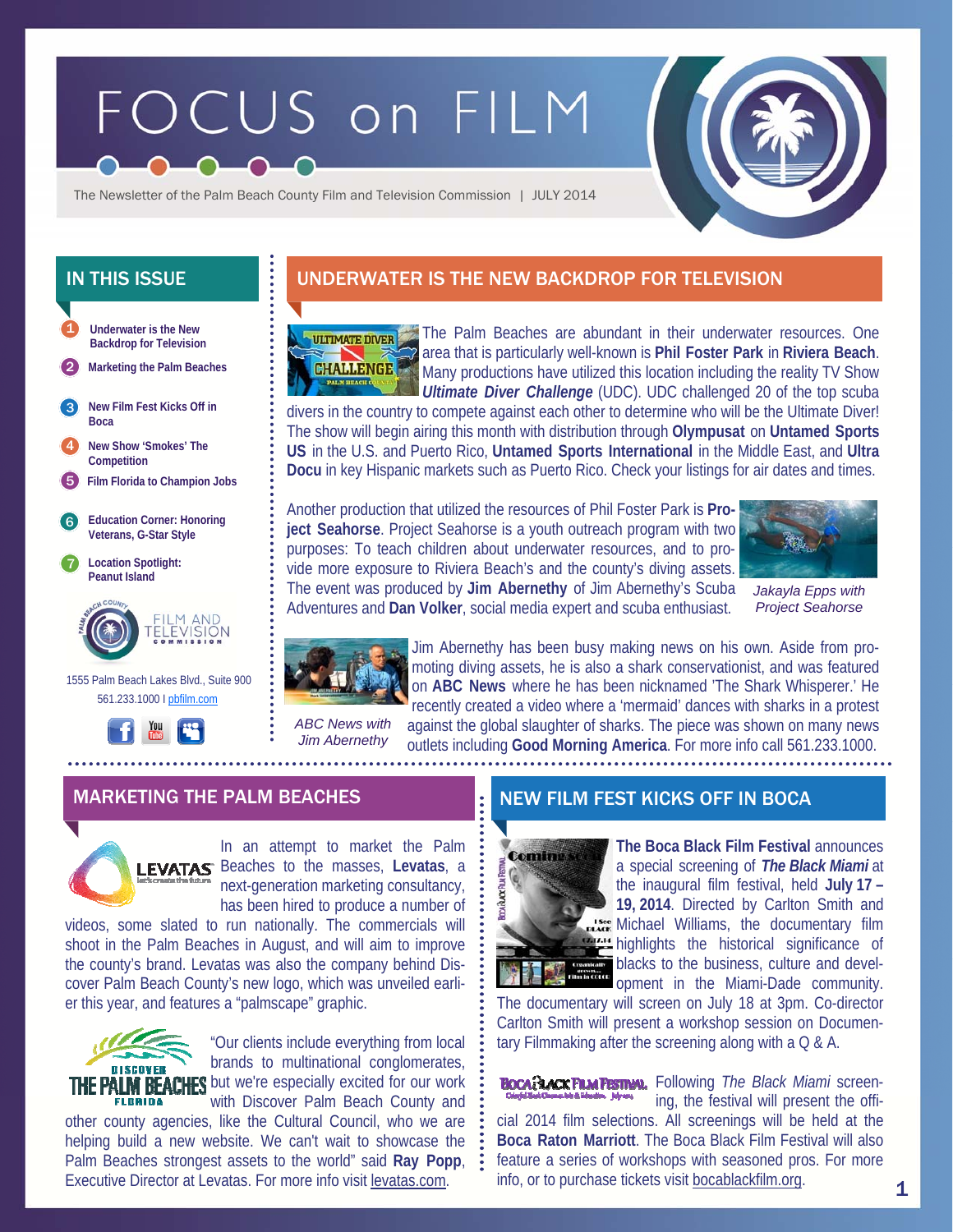# FOCUS on FILM



The Newsletter of the Palm Beach County Film and Television Commission | JULY 2014

- **Underwater is the New Backdrop for Television**  1
- 2 **Marketing the Palm Beaches**
- **New Film Fest Kicks Off in Boca**  3
- 4 **New Show 'Smokes' The Competition**
- 5 **Film Florida to Champion Jobs**
- 6 **Education Corner: Honoring Veterans, G-Star Style**
- 7 **Location Spotlight: Peanut Island**



 1555 Palm Beach Lakes Blvd., Suite 900 561.233.1000 I pbfilm.com



## IN THIS ISSUE UNDERWATER IS THE NEW BACKDROP FOR TELEVISION



The Palm Beaches are abundant in their underwater resources. One area that is particularly well-known is **Phil Foster Park** in **Riviera Beach**. Many productions have utilized this location including the reality TV Show *Ultimate Diver Challenge* (UDC). UDC challenged 20 of the top scuba

divers in the country to compete against each other to determine who will be the Ultimate Diver! The show will begin airing this month with distribution through **Olympusat** on **Untamed Sports US** in the U.S. and Puerto Rico, **Untamed Sports International** in the Middle East, and **Ultra Docu** in key Hispanic markets such as Puerto Rico. Check your listings for air dates and times.

Another production that utilized the resources of Phil Foster Park is **Project Seahorse**. Project Seahorse is a youth outreach program with two purposes: To teach children about underwater resources, and to provide more exposure to Riviera Beach's and the county's diving assets. The event was produced by **Jim Abernethy** of Jim Abernethy's Scuba Adventures and **Dan Volker**, social media expert and scuba enthusiast.



*Jakayla Epps with Project Seahorse* 



Jim Abernethy has been busy making news on his own. Aside from promoting diving assets, he is also a shark conservationist, and was featured on **ABC News** where he has been nicknamed 'The Shark Whisperer.' He recently created a video where a 'mermaid' dances with sharks in a protest against the global slaughter of sharks. The piece was shown on many news outlets including **Good Morning America**. For more info call 561.233.1000.

*Jim Abernethy* 

*ABC News with* 

MARKETING THE PALM BEACHES NEW FILM FEST KICKS OFF IN BOCA



In an attempt to market the Palm **LEVATAS** Beaches to the masses, Levatas, a next-generation marketing consultancy, has been hired to produce a number of

videos, some slated to run nationally. The commercials will shoot in the Palm Beaches in August, and will aim to improve the county's brand. Levatas was also the company behind Discover Palm Beach County's new logo, which was unveiled earlier this year, and features a "palmscape" graphic.



"Our clients include everything from local brands to multinational conglomerates, THE PALM BEACHES but we're especially excited for our work with Discover Palm Beach County and

other county agencies, like the Cultural Council, who we are helping build a new website. We can't wait to showcase the Palm Beaches strongest assets to the world" said **Ray Popp**, Executive Director at Levatas. For more info visit levatas.com.



**The Boca Black Film Festival** announces a special screening of *The Black Miami* at the inaugural film festival, held **July 17 – 19, 2014**. Directed by Carlton Smith and See Michael Williams, the documentary film highlights the historical significance of blacks to the business, culture and development in the Miami-Dade community.

The documentary will screen on July 18 at 3pm. Co-director Carlton Smith will present a workshop session on Documentary Filmmaking after the screening along with a Q & A.

**BOCA: LACK FILM FESTIVAL.** Following *The Black Miami* screening, the festival will present the official 2014 film selections. All screenings will be held at the **Boca Raton Marriott**. The Boca Black Film Festival will also feature a series of workshops with seasoned pros. For more info, or to purchase tickets visit bocablackfilm.org.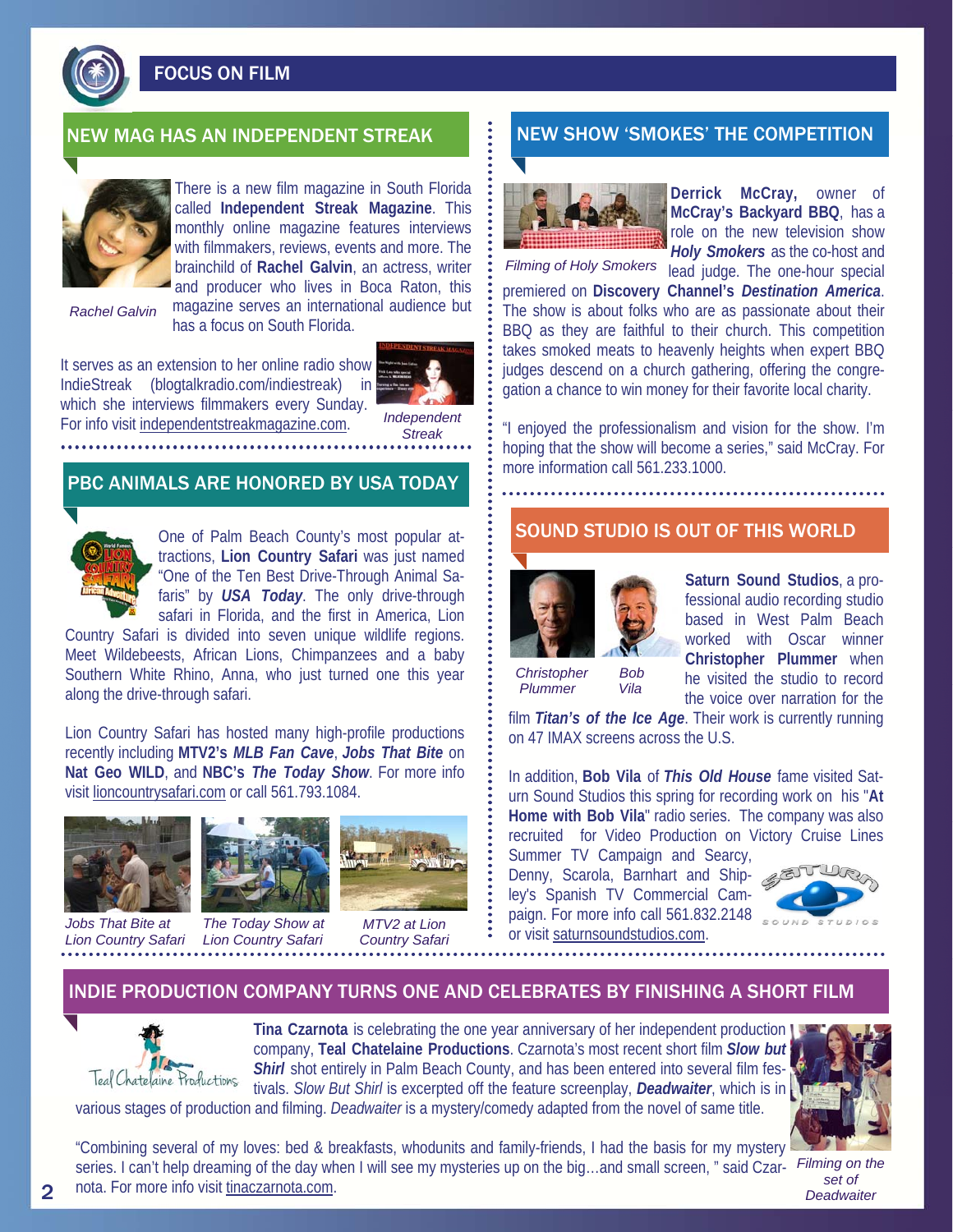

FOCUS ON FILM



There is a new film magazine in South Florida called **Independent Streak Magazine**. This monthly online magazine features interviews with filmmakers, reviews, events and more. The brainchild of **Rachel Galvin**, an actress, writer and producer who lives in Boca Raton, this magazine serves an international audience but has a focus on South Florida.

*Rachel Galvin* 

It serves as an extension to her online radio show IndieStreak (blogtalkradio.com/indiestreak) in which she interviews filmmakers every Sunday. For info visit independentstreakmagazine.com.



*Independent Streak* 

#### PBC ANIMALS ARE HONORED BY USA TODAY



One of Palm Beach County's most popular attractions, **Lion Country Safari** was just named "One of the Ten Best Drive-Through Animal Safaris" by *USA Today*. The only drive-through safari in Florida, and the first in America, Lion

Country Safari is divided into seven unique wildlife regions. Meet Wildebeests, African Lions, Chimpanzees and a baby Southern White Rhino, Anna, who just turned one this year along the drive-through safari.

Lion Country Safari has hosted many high-profile productions recently including **MTV2's** *MLB Fan Cave*, *Jobs That Bite* on **Nat Geo WILD**, and **NBC's** *The Today Show*. For more info visit lioncountrysafari.com or call 561.793.1084.



*Jobs That Bite at Lion Country Safari Lion Country Safari* 



*The Today Show at* 



*MTV2 at Lion Country Safari* 

## NEW MAG HAS AN INDEPENDENT STREAK NEW SHOW 'SMOKES' THE COMPETITION



**Derrick McCray,** owner of **McCray's Backyard BBQ**, has a role on the new television show *Holy Smokers* as the co-host and

Filming of Holy Smokers lead judge. The one-hour special

premiered on **Discovery Channel's** *Destination America*. The show is about folks who are as passionate about their BBQ as they are faithful to their church. This competition takes smoked meats to heavenly heights when expert BBQ judges descend on a church gathering, offering the congregation a chance to win money for their favorite local charity.

"I enjoyed the professionalism and vision for the show. I'm hoping that the show will become a series," said McCray. For more information call 561.233.1000.

#### SOUND STUDIO IS OUT OF THIS WORLD



*Christopher Bob* 

**Saturn Sound Studios**, a professional audio recording studio based in West Palm Beach worked with Oscar winner **Christopher Plummer** when he visited the studio to record the voice over narration for the

film *Titan's of the Ice Age*. Their work is currently running on 47 IMAX screens across the U.S.  *Plummer Vila* 

In addition, **Bob Vila** of *This Old House* fame visited Saturn Sound Studios this spring for recording work on his "**At Home with Bob Vila**" radio series. The company was also recruited for Video Production on Victory Cruise Lines

Summer TV Campaign and Searcy, Denny, Scarola, Barnhart and Shipley's Spanish TV Commercial Campaign. For more info call 561.832.2148 or visit saturnsoundstudios.com.



#### INDIE PRODUCTION COMPANY TURNS ONE AND CELEBRATES BY FINISHING A SHORT FILM



**Tina Czarnota** is celebrating the one year anniversary of her independent production company, **Teal Chatelaine Productions**. Czarnota's most recent short film *Slow but*  **Shirl** shot entirely in Palm Beach County, and has been entered into several film festivals. *Slow But Shirl* is excerpted off the feature screenplay, *Deadwaiter*, which is in

various stages of production and filming. *Deadwaiter* is a mystery/comedy adapted from the novel of same title.



"Combining several of my loves: bed & breakfasts, whodunits and family-friends, I had the basis for my mystery series. I can't help dreaming of the day when I will see my mysteries up on the big…and small screen, " said Czar-*Filming on the*  nota. For more info visit tinaczarnota.com.

*set of Deadwaiter*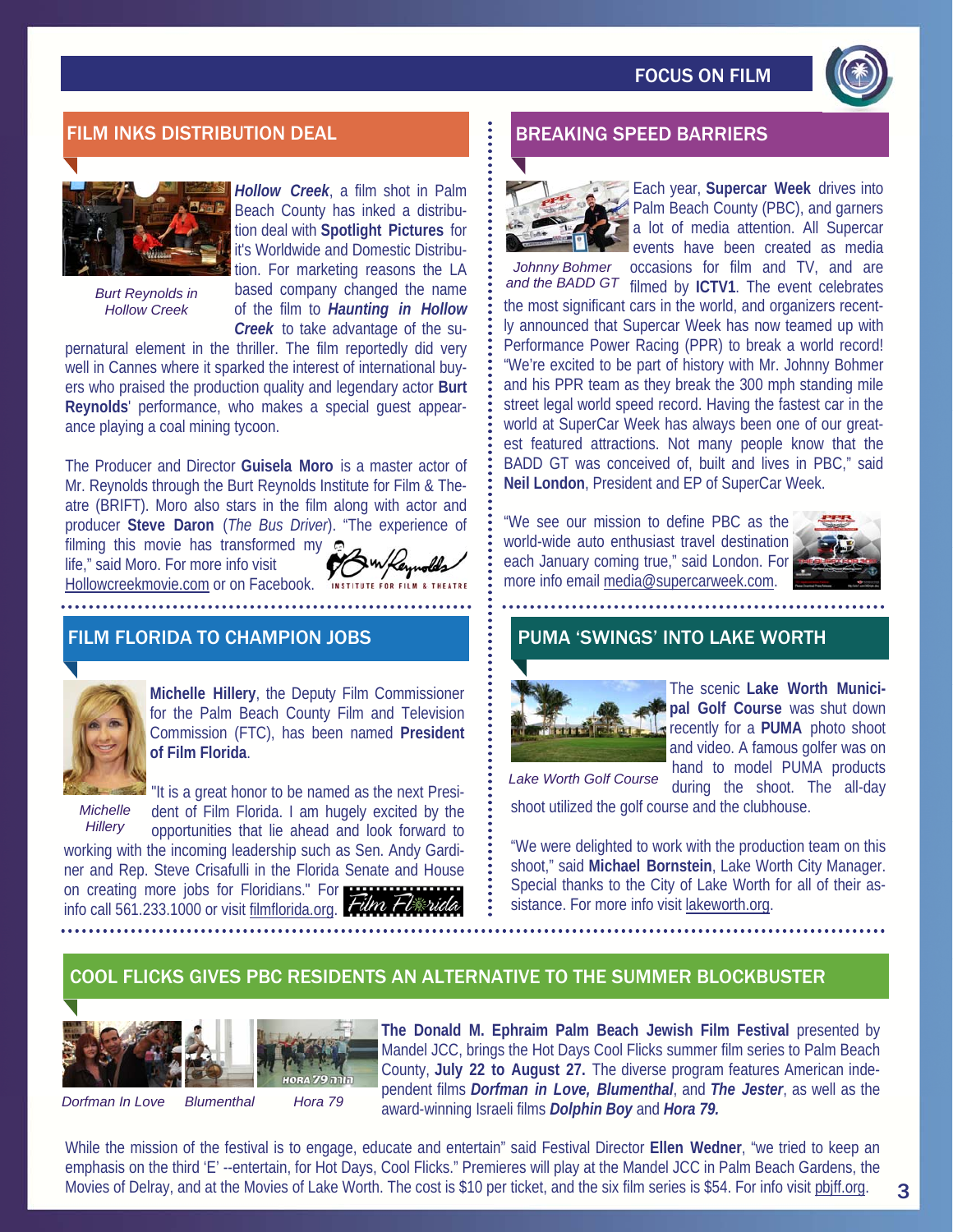

## FILM INKS DISTRIBUTION DEAL BREAKING SPEED BARRIERS



*Burt Reynolds in Hollow Creek* 

*Hollow Creek*, a film shot in Palm Beach County has inked a distribution deal with **Spotlight Pictures** for it's Worldwide and Domestic Distribution. For marketing reasons the LA based company changed the name of the film to *Haunting in Hollow Creek* to take advantage of the su-

pernatural element in the thriller. The film reportedly did very well in Cannes where it sparked the interest of international buyers who praised the production quality and legendary actor **Burt Reynolds**' performance, who makes a special guest appearance playing a coal mining tycoon.

The Producer and Director **Guisela Moro** is a master actor of Mr. Reynolds through the Burt Reynolds Institute for Film & Theatre (BRIFT). Moro also stars in the film along with actor and producer **Steve Daron** (*The Bus Driver*). "The experience of filming this movie has transformed my

life," said Moro. For more info visit Hollowcreekmovie.com or on Facebook.

#### FILM FLORIDA TO CHAMPION JOBS



**Michelle Hillery**, the Deputy Film Commissioner for the Palm Beach County Film and Television Commission (FTC), has been named **President of Film Florida**.

*Michelle Hillery* 

"It is a great honor to be named as the next President of Film Florida. I am hugely excited by the opportunities that lie ahead and look forward to

working with the incoming leadership such as Sen. Andy Gardiner and Rep. Steve Crisafulli in the Florida Senate and House on creating more jobs for Floridians." For info call 561.233.1000 or visit filmflorida.org. Film





Each year, **Supercar Week** drives into Palm Beach County (PBC), and garners a lot of media attention. All Supercar events have been created as media

Johnny Bohmer occasions for film and TV, and are and the BADD GT filmed by ICTV1. The event celebrates the most significant cars in the world, and organizers recently announced that Supercar Week has now teamed up with Performance Power Racing (PPR) to break a world record! "We're excited to be part of history with Mr. Johnny Bohmer and his PPR team as they break the 300 mph standing mile street legal world speed record. Having the fastest car in the world at SuperCar Week has always been one of our greatest featured attractions. Not many people know that the BADD GT was conceived of, built and lives in PBC," said **Neil London**, President and EP of SuperCar Week.

"We see our mission to define PBC as the world-wide auto enthusiast travel destination each January coming true," said London. For more info email media@supercarweek.com.



#### PUMA 'SWINGS' INTO LAKE WORTH



The scenic **Lake Worth Municipal Golf Course** was shut down **recently for a PUMA** photo shoot and video. A famous golfer was on hand to model PUMA products

during the shoot. The all-day shoot utilized the golf course and the clubhouse. *Lake Worth Golf Course* 

"We were delighted to work with the production team on this shoot," said **Michael Bornstein**, Lake Worth City Manager. Special thanks to the City of Lake Worth for all of their assistance. For more info visit lakeworth.org.

### COOL FLICKS GIVES PBC RESIDENTS AN ALTERNATIVE TO THE SUMMER BLOCKBUSTER



The Donald M. Ephraim Palm Beach Jewish Film Festival presented by Mandel JCC, brings the Hot Days Cool Flicks summer film series to Palm Beach County, **July 22 to August 27.** The diverse program features American independent films *Dorfman in Love, Blumenthal*, and *The Jester*, as well as the award-winning Israeli films *Dolphin Boy* and *Hora 79.* 

While the mission of the festival is to engage, educate and entertain" said Festival Director **Ellen Wedner**, "we tried to keep an emphasis on the third 'E' --entertain, for Hot Days, Cool Flicks." Premieres will play at the Mandel JCC in Palm Beach Gardens, the Movies of Delray, and at the Movies of Lake Worth. The cost is \$10 per ticket, and the six film series is \$54. For info visit pbjff.org.